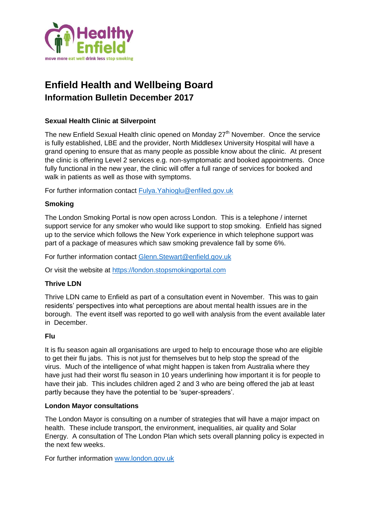

# **Enfield Health and Wellbeing Board Information Bulletin December 2017**

## **Sexual Health Clinic at Silverpoint**

The new Enfield Sexual Health clinic opened on Monday  $27<sup>th</sup>$  November. Once the service is fully established, LBE and the provider, North Middlesex University Hospital will have a grand opening to ensure that as many people as possible know about the clinic. At present the clinic is offering Level 2 services e.g. non-symptomatic and booked appointments. Once fully functional in the new year, the clinic will offer a full range of services for booked and walk in patients as well as those with symptoms.

For further information contact [Fulya.Yahioglu@enfiled.gov.uk](mailto:Fulya.Yahioglu@enfiled.gov.uk)

### **Smoking**

The London Smoking Portal is now open across London. This is a telephone / internet support service for any smoker who would like support to stop smoking. Enfield has signed up to the service which follows the New York experience in which telephone support was part of a package of measures which saw smoking prevalence fall by some 6%.

For further information contact [Glenn.Stewart@enfield.gov.uk](mailto:Glenn.Stewart@enfield.gov.uk)

Or visit the website at [https://london.stopsmokingportal.com](https://london.stopsmokingportal.com/)

### **Thrive LDN**

Thrive LDN came to Enfield as part of a consultation event in November. This was to gain residents' perspectives into what perceptions are about mental health issues are in the borough. The event itself was reported to go well with analysis from the event available later in December.

### **Flu**

It is flu season again all organisations are urged to help to encourage those who are eligible to get their flu jabs. This is not just for themselves but to help stop the spread of the virus. Much of the intelligence of what might happen is taken from Australia where they have just had their worst flu season in 10 years underlining how important it is for people to have their jab. This includes children aged 2 and 3 who are being offered the jab at least partly because they have the potential to be 'super-spreaders'.

### **London Mayor consultations**

The London Mayor is consulting on a number of strategies that will have a major impact on health. These include transport, the environment, inequalities, air quality and Solar Energy. A consultation of The London Plan which sets overall planning policy is expected in the next few weeks.

For further information [www.london.gov.uk](http://www.london.gov.uk/)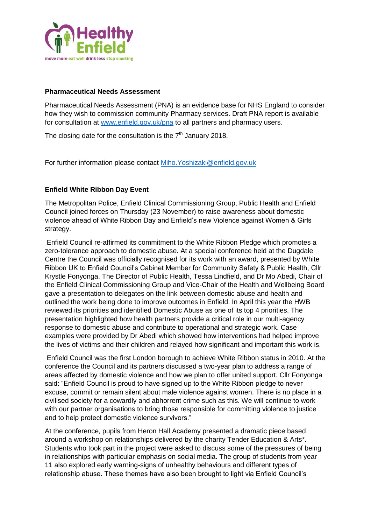

#### **Pharmaceutical Needs Assessment**

Pharmaceutical Needs Assessment (PNA) is an evidence base for NHS England to consider how they wish to commission community Pharmacy services. Draft PNA report is available for consultation at [www.enfield.gov.uk/pna](http://www.enfield.gov.uk/pna) to all partners and pharmacy users.

The closing date for the consultation is the  $7<sup>th</sup>$  January 2018.

For further information please contact [Miho.Yoshizaki@enfield.gov.uk](mailto:Miho.Yoshizaki@enfield.gov.uk)

## **Enfield White Ribbon Day Event**

The Metropolitan Police, Enfield Clinical Commissioning Group, Public Health and Enfield Council joined forces on Thursday (23 November) to raise awareness about domestic violence ahead of White Ribbon Day and Enfield's new Violence against Women & Girls strategy.

Enfield Council re-affirmed its commitment to the White Ribbon Pledge which promotes a zero-tolerance approach to domestic abuse. At a special conference held at the Dugdale Centre the Council was officially recognised for its work with an award, presented by White Ribbon UK to Enfield Council's Cabinet Member for Community Safety & Public Health, Cllr Krystle Fonyonga. The Director of Public Health, Tessa Lindfield, and Dr Mo Abedi, Chair of the Enfield Clinical Commissioning Group and Vice-Chair of the Health and Wellbeing Board gave a presentation to delegates on the link between domestic abuse and health and outlined the work being done to improve outcomes in Enfield. In April this year the HWB reviewed its priorities and identified Domestic Abuse as one of its top 4 priorities. The presentation highlighted how health partners provide a critical role in our multi-agency response to domestic abuse and contribute to operational and strategic work. Case examples were provided by Dr Abedi which showed how interventions had helped improve the lives of victims and their children and relayed how significant and important this work is.

Enfield Council was the first London borough to achieve White Ribbon status in 2010. At the conference the Council and its partners discussed a two-year plan to address a range of areas affected by domestic violence and how we plan to offer united support. Cllr Fonyonga said: "Enfield Council is proud to have signed up to the White Ribbon pledge to never excuse, commit or remain silent about male violence against women. There is no place in a civilised society for a cowardly and abhorrent crime such as this. We will continue to work with our partner organisations to bring those responsible for committing violence to justice and to help protect domestic violence survivors."

At the conference, pupils from Heron Hall Academy presented a dramatic piece based around a workshop on relationships delivered by the charity Tender Education & Arts\*. Students who took part in the project were asked to discuss some of the pressures of being in relationships with particular emphasis on social media. The group of students from year 11 also explored early warning-signs of unhealthy behaviours and different types of relationship abuse. These themes have also been brought to light via Enfield Council's